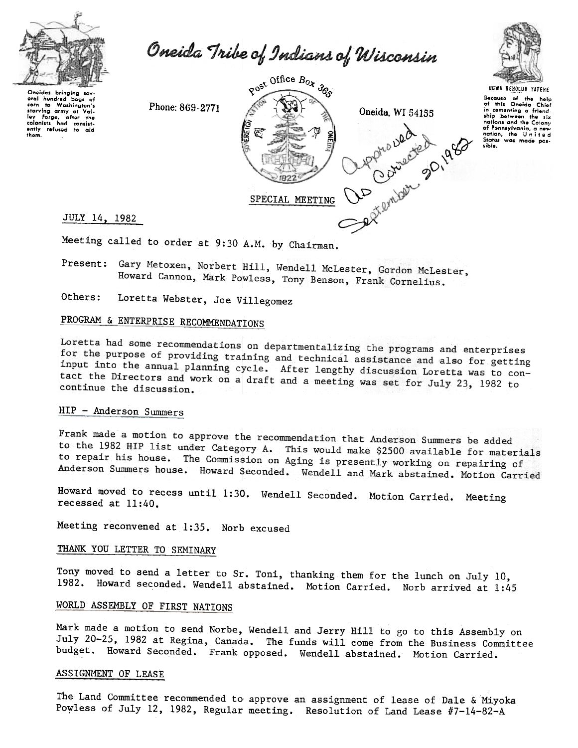

Oneida Tribe of Indians of Wisconsin

Oneidas bringing sev oral hundred ٠ь. to Washington's torn to wasnington's<br>starving army at Val-<br>ley Forge, after the<br>colonists had consist-<br>ently refused to aid<br>them.

Phone: 869-2771





Because of the help<br>of this Oneida Chief of this Unerga Liner<br>in comenting a friend-<br>ship between the six nations and the Calony of Pennsylvania, a nev nation, the United sible.

JULY 14, 1982

Meeting called to order at 9:30 A.M. by Chairman.

Present: Gary Metoxen, Norbert Hill, Wendell McLester, Gordon McLester, Howard Cannon, Mark Powless, Tony Benson, Frank Cornelius.

Others: Loretta Webster, Joe Villegomez

# PROGRAM & ENTERPRISE RECOMMENDATIONS

Loretta had some recommendations on departmentalizing the programs and enterprises for the purpose of providing training and technical assistance and also for getting input into the annual planning cycle. After lengthy discussion Loretta was to contact the Directors and work on a draft and a meeting was set for July 23, 1982 to continue the discussion.

# HIP - Anderson Summers

Frank made a motion to approve the recommendation that Anderson Summers be added to the 1982 HIP list under Category A. This would make \$2500 available for materials to repair his house. The Commission on Aging is presently working on repairing of Anderson Summers house. Howard Seconded. Wendell and Mark abstained. Motion Carried

Howard moved to recess until 1:30. Wendell Seconded. Motion Carried. Meeting recessed at  $11:40$ .

Meeting reconvened at 1:35. Norb excused

# THANK YOU LETTER TO SEMINARY

Tony moved to send a letter to Sr. Toni, thanking them for the lunch on July 10, 1982. Howard seconded. Wendell abstained. Motion Carried. Norb arrived at 1:45

# WORLD ASSEMBLY OF FIRST NATIONS

Mark made a motion to send Norbe, Wendell and Jerry Hill to go to this Assembly on July 20-25, 1982 at Regina, Canada. The funds will come from the Business Committee budget. Howard Seconded. Frank opposed. Wendell abstained. Motion Carried.

## ASSIGNMENT OF LEASE

The Land Committee recommended to approve an assignment of lease of Dale & Miyoka Powless of July 12, 1982, Regular meeting. Resolution of Land Lease #7-14-82-A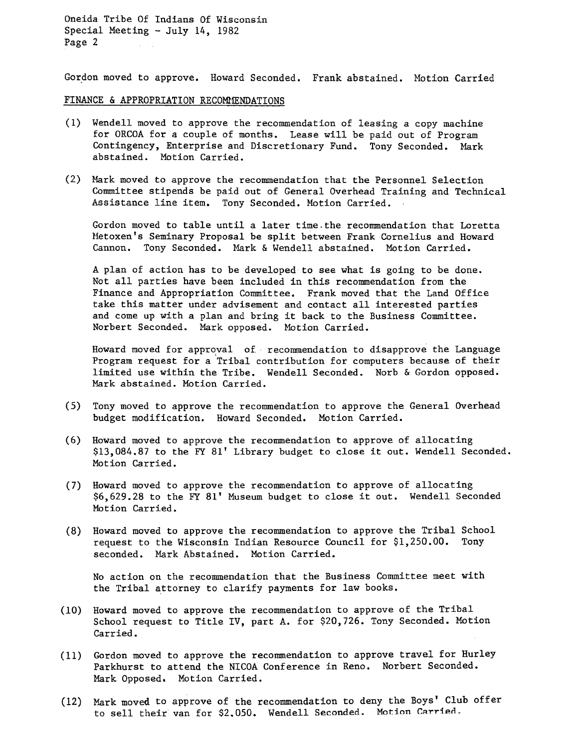Oneida Tribe Of Indians Of Wisconsin Special Meeting -July 14, 1982 Page 2

Gordon moved to approve. Howard Seconded. Frank abstained. Motion Carried

### FINANCE & APPROPRIATION RECOMMENDATIONS

- (1) Wendell moved to approve the recommendation of leasing a copy machine for ORCOA for a couple of months. Lease will be paid out of Program Contingency, Enterprise and Discretionary Fund. Tony Seconded. Mark abstained. Motion Carried.
- (2) Mark moved to approve the recommendation that the Personnel Selection Committee stipends be paid out of General Overhead Training and Technical Assistance line item. Tony Seconded. Motion Carried.

Gordon moved to table until a later time.the recommendation that Loretta Metoxen's Seminary Proposal be split between Frank Cornelius and Howard Cannon. Tony Seconded. Mark & Wendell abstained. Motion Carried.

A plan of action has to be developed to see what is going to be done. Not all parties have been included in this recommendation from the Finance and Appropriation Committee. Frank moved that the Land Office take this matter under advisement and contact all interested parties and come up with a plan and bring it back to the Business Committee. Norbert Seconded. Mark opposed. Motion Carried.

Howard moved for approval of recommendation to disapprove the Language Program request for a "Tribal contribution for computers because of their limited use within the Tribe. Wendell Seconded. Norb & Gordon opposed. Mark abstained. Motion Carried.

- (5) Tony moved to approve the recommendation to approve the General Overhea budget modification. Howard Seconded. Motion Carried.
- (6) Howard moved to approve the recommendation to approve of allocating \$13,084.87 to the FY 81' Library budget to close it out. Wendell Seconded. Motion Carried.
- (7) Howard moved to approve the recommendation to approve of allocating \$6,629.28 to the FY 81' Museum budget to close it out. Wendell Seconded Motion Carried.
- (8) Howard moved to approve the recommendation to approve the Tribal Schoo request to the Wisconsin Indian Resource Council for \$1,250.00. Tony seconded. Mark Abstained. Motion Carried.

No action on the recommendation that the Business Committee meet with the Tribal attorney to clarify payments for law books.

- Howard moved to approve the recommendation to approve of the Tribal (10) School request to Title IV, part A. for \$20,726. Tony Seconded. Motion Carried.
- (11) Gordon moved to approve the recommendation to approve travel for Hurle Parkhurst to attend the NICOA Conference in Reno. Norbert Seconded. Mark Opposed. Motion Carried.
- (12) Mark moved to approve of the recommendation to deny the Boys' Club off to sell their van for \$2.050. Wendell Seconded. Motion Carried.